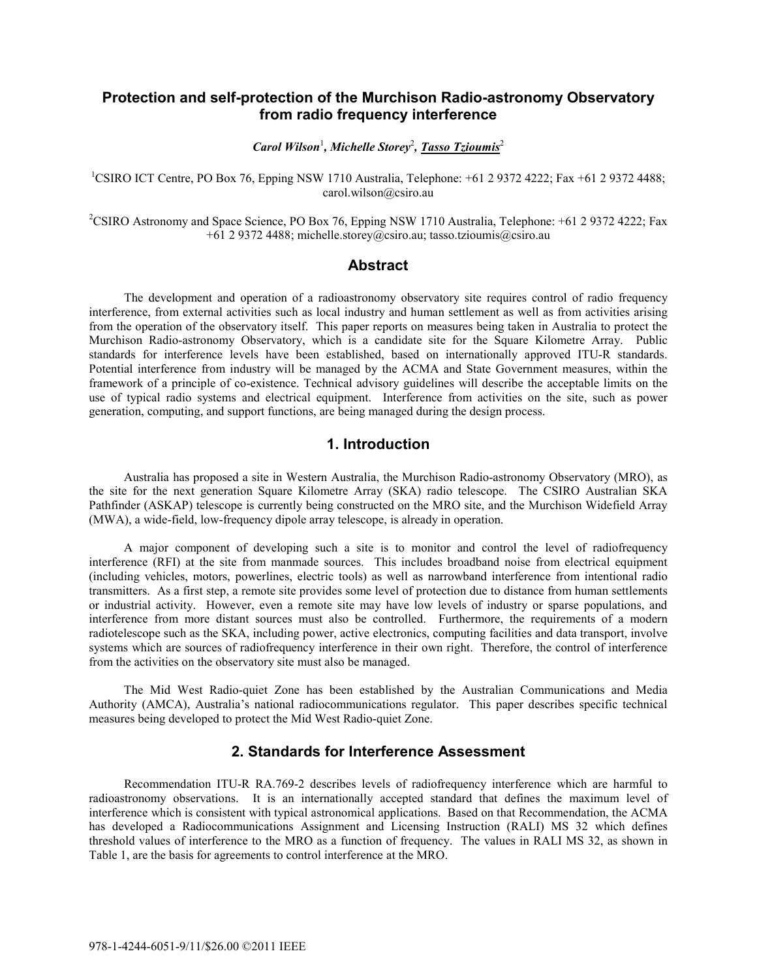# **Protection and self-protection of the Murchison Radio-astronomy Observatory from radio frequency interference**

Carol Wilson<sup>1</sup>, Michelle Storey<sup>2</sup>, Tasso Tzioumis<sup>2</sup>

<sup>1</sup>CSIRO ICT Centre, PO Box 76, Epping NSW 1710 Australia, Telephone: +61 2 9372 4222; Fax +61 2 9372 4488; carol.wilson@csiro.au

<sup>2</sup>CSIRO Astronomy and Space Science, PO Box 76, Epping NSW 1710 Australia, Telephone: +61 2 9372 4222; Fax +61 2 9372 4488; michelle.storey@csiro.au; tasso.tzioumis@csiro.au

#### **Abstract**

 The development and operation of a radioastronomy observatory site requires control of radio frequency interference, from external activities such as local industry and human settlement as well as from activities arising from the operation of the observatory itself. This paper reports on measures being taken in Australia to protect the Murchison Radio-astronomy Observatory, which is a candidate site for the Square Kilometre Array. Public standards for interference levels have been established, based on internationally approved ITU-R standards. Potential interference from industry will be managed by the ACMA and State Government measures, within the framework of a principle of co-existence. Technical advisory guidelines will describe the acceptable limits on the use of typical radio systems and electrical equipment. Interference from activities on the site, such as power generation, computing, and support functions, are being managed during the design process.

# **1. Introduction**

 Australia has proposed a site in Western Australia, the Murchison Radio-astronomy Observatory (MRO), as the site for the next generation Square Kilometre Array (SKA) radio telescope. The CSIRO Australian SKA Pathfinder (ASKAP) telescope is currently being constructed on the MRO site, and the Murchison Widefield Array (MWA), a wide-field, low-frequency dipole array telescope, is already in operation.

 A major component of developing such a site is to monitor and control the level of radiofrequency interference (RFI) at the site from manmade sources. This includes broadband noise from electrical equipment (including vehicles, motors, powerlines, electric tools) as well as narrowband interference from intentional radio transmitters. As a first step, a remote site provides some level of protection due to distance from human settlements or industrial activity. However, even a remote site may have low levels of industry or sparse populations, and interference from more distant sources must also be controlled. Furthermore, the requirements of a modern radiotelescope such as the SKA, including power, active electronics, computing facilities and data transport, involve systems which are sources of radiofrequency interference in their own right. Therefore, the control of interference from the activities on the observatory site must also be managed.

 The Mid West Radio-quiet Zone has been established by the Australian Communications and Media Authority (AMCA), Australia's national radiocommunications regulator. This paper describes specific technical measures being developed to protect the Mid West Radio-quiet Zone.

#### **2. Standards for Interference Assessment**

 Recommendation ITU-R RA.769-2 describes levels of radiofrequency interference which are harmful to radioastronomy observations. It is an internationally accepted standard that defines the maximum level of interference which is consistent with typical astronomical applications. Based on that Recommendation, the ACMA has developed a Radiocommunications Assignment and Licensing Instruction (RALI) MS 32 which defines threshold values of interference to the MRO as a function of frequency. The values in RALI MS 32, as shown in Table 1, are the basis for agreements to control interference at the MRO.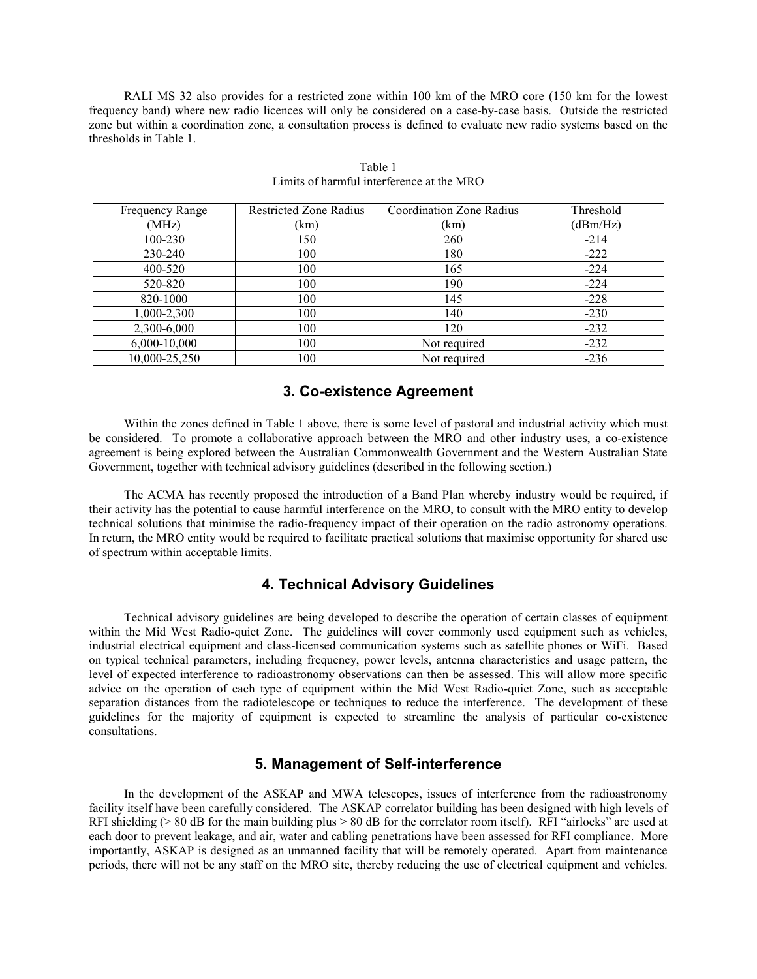RALI MS 32 also provides for a restricted zone within 100 km of the MRO core (150 km for the lowest frequency band) where new radio licences will only be considered on a case-by-case basis. Outside the restricted zone but within a coordination zone, a consultation process is defined to evaluate new radio systems based on the thresholds in Table 1.

| Frequency Range | <b>Restricted Zone Radius</b> | <b>Coordination Zone Radius</b> | Threshold |
|-----------------|-------------------------------|---------------------------------|-----------|
| (MHz)           | (km)                          | (km)                            | (dBm/Hz)  |
| 100-230         | 150                           | 260                             | $-214$    |
| 230-240         | 100                           | 180                             | $-222$    |
| 400-520         | 100                           | 165                             | $-224$    |
| 520-820         | 100                           | 190                             | $-224$    |
| 820-1000        | 100                           | 145                             | $-228$    |
| 1,000-2,300     | 100                           | 140                             | $-230$    |
| 2,300-6,000     | 100                           | 120                             | $-232$    |
| 6,000-10,000    | 100                           | Not required                    | $-232$    |
| 10,000-25,250   | 100                           | Not required                    | $-236$    |

Table 1 Limits of harmful interference at the MRO

### **3. Co-existence Agreement**

 Within the zones defined in Table 1 above, there is some level of pastoral and industrial activity which must be considered. To promote a collaborative approach between the MRO and other industry uses, a co-existence agreement is being explored between the Australian Commonwealth Government and the Western Australian State Government, together with technical advisory guidelines (described in the following section.)

 The ACMA has recently proposed the introduction of a Band Plan whereby industry would be required, if their activity has the potential to cause harmful interference on the MRO, to consult with the MRO entity to develop technical solutions that minimise the radio-frequency impact of their operation on the radio astronomy operations. In return, the MRO entity would be required to facilitate practical solutions that maximise opportunity for shared use of spectrum within acceptable limits.

# **4. Technical Advisory Guidelines**

 Technical advisory guidelines are being developed to describe the operation of certain classes of equipment within the Mid West Radio-quiet Zone. The guidelines will cover commonly used equipment such as vehicles, industrial electrical equipment and class-licensed communication systems such as satellite phones or WiFi. Based on typical technical parameters, including frequency, power levels, antenna characteristics and usage pattern, the level of expected interference to radioastronomy observations can then be assessed. This will allow more specific advice on the operation of each type of equipment within the Mid West Radio-quiet Zone, such as acceptable separation distances from the radiotelescope or techniques to reduce the interference. The development of these guidelines for the majority of equipment is expected to streamline the analysis of particular co-existence consultations.

# **5. Management of Self-interference**

 In the development of the ASKAP and MWA telescopes, issues of interference from the radioastronomy facility itself have been carefully considered. The ASKAP correlator building has been designed with high levels of RFI shielding ( $> 80$  dB for the main building plus  $> 80$  dB for the correlator room itself). RFI "airlocks" are used at each door to prevent leakage, and air, water and cabling penetrations have been assessed for RFI compliance. More importantly, ASKAP is designed as an unmanned facility that will be remotely operated. Apart from maintenance periods, there will not be any staff on the MRO site, thereby reducing the use of electrical equipment and vehicles.